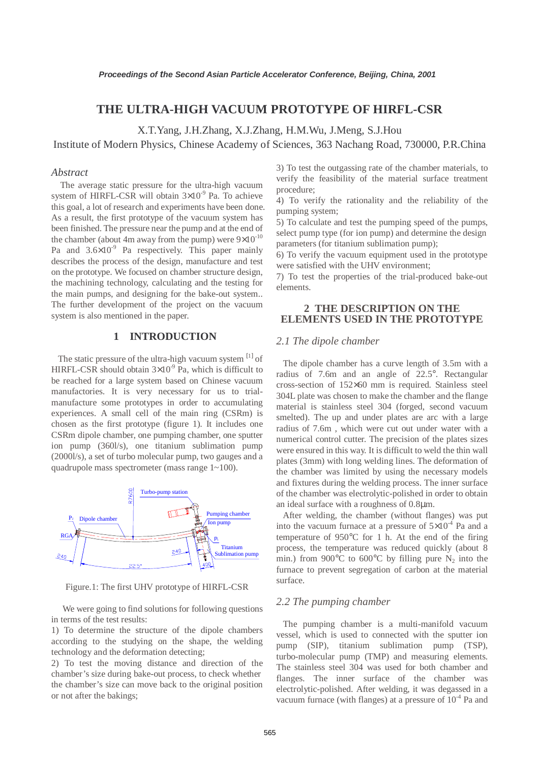# **THE ULTRA-HIGH VACUUM PROTOTYPE OF HIRFL-CSR**

X.T.Yang, J.H.Zhang, X.J.Zhang, H.M.Wu, J.Meng, S.J.Hou

Institute of Modern Physics, Chinese Academy of Sciences, 363 Nachang Road, 730000, P.R.China

#### *Abstract*

 The average static pressure for the ultra-high vacuum system of HIRFL-CSR will obtain  $3\times10^{-9}$  Pa. To achieve this goal, a lot of research and experiments have been done. As a result, the first prototype of the vacuum system has been finished. The pressure near the pump and at the end of the chamber (about 4m away from the pump) were  $9\times10^{-10}$ Pa and  $3.6\times10^{-9}$  Pa respectively. This paper mainly describes the process of the design, manufacture and test on the prototype. We focused on chamber structure design, the machining technology, calculating and the testing for the main pumps, and designing for the bake-out system.. The further development of the project on the vacuum system is also mentioned in the paper.

#### **1 INTRODUCTION**

The static pressure of the ultra-high vacuum system [1] of HIRFL-CSR should obtain  $3\times10^{-9}$  Pa, which is difficult to be reached for a large system based on Chinese vacuum manufactories. It is very necessary for us to trialmanufacture some prototypes in order to accumulating experiences. A small cell of the main ring (CSRm) is chosen as the first prototype (figure 1). It includes one CSRm dipole chamber, one pumping chamber, one sputter ion pump (360l/s), one titanium sublimation pump (2000l/s), a set of turbo molecular pump, two gauges and a quadrupole mass spectrometer (mass range 1~100).



Figure.1: The first UHV prototype of HIRFL-CSR

 We were going to find solutions for following questions in terms of the test results:

1) To determine the structure of the dipole chambers according to the studying on the shape, the welding technology and the deformation detecting;

2) To test the moving distance and direction of the chamber's size during bake-out process, to check whether the chamber's size can move back to the original position or not after the bakings;

3) To test the outgassing rate of the chamber materials, to verify the feasibility of the material surface treatment procedure;

4) To verify the rationality and the reliability of the pumping system;

5) To calculate and test the pumping speed of the pumps, select pump type (for ion pump) and determine the design parameters (for titanium sublimation pump);

6) To verify the vacuum equipment used in the prototype were satisfied with the UHV environment;

7) To test the properties of the trial-produced bake-out elements.

## **2 THE DESCRIPTION ON THE ELEMENTS USED IN THE PROTOTYPE**

#### *2.1 The dipole chamber*

 The dipole chamber has a curve length of 3.5m with a radius of 7.6m and an angle of 22.5°. Rectangular cross-section of 152×60 mm is required. Stainless steel 304L plate was chosen to make the chamber and the flange material is stainless steel 304 (forged, second vacuum smelted). The up and under plates are arc with a large radius of 7.6m , which were cut out under water with a numerical control cutter. The precision of the plates sizes were ensured in this way. It is difficult to weld the thin wall plates (3mm) with long welding lines. The deformation of the chamber was limited by using the necessary models and fixtures during the welding process. The inner surface of the chamber was electrolytic-polished in order to obtain an ideal surface with a roughness of 0.8µm.

 After welding, the chamber (without flanges) was put into the vacuum furnace at a pressure of  $5\times10^{-4}$  Pa and a temperature of 950°C for 1 h. At the end of the firing process, the temperature was reduced quickly (about 8 min.) from 900 $^{\circ}$ C to 600 $^{\circ}$ C by filling pure N<sub>2</sub> into the furnace to prevent segregation of carbon at the material surface.

#### *2.2 The pumping chamber*

 The pumping chamber is a multi-manifold vacuum vessel, which is used to connected with the sputter ion pump (SIP), titanium sublimation pump (TSP), turbo-molecular pump (TMP) and measuring elements. The stainless steel 304 was used for both chamber and flanges. The inner surface of the chamber was electrolytic-polished. After welding, it was degassed in a vacuum furnace (with flanges) at a pressure of  $10^{-4}$  Pa and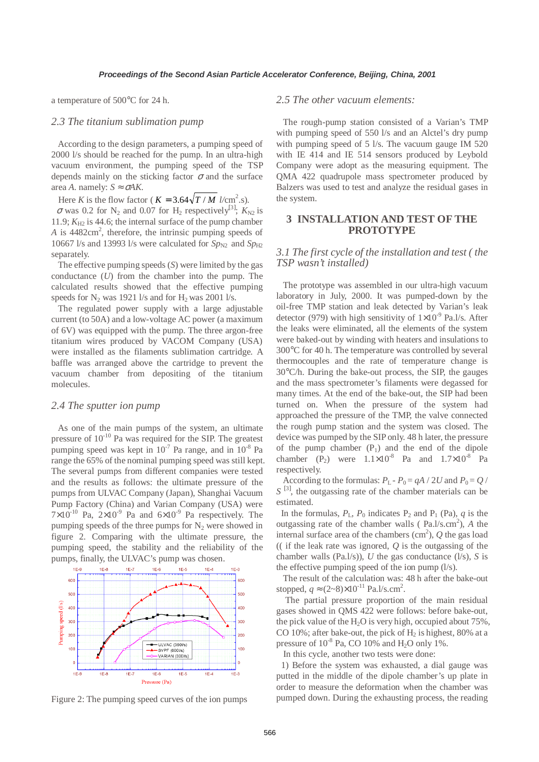a temperature of 500°C for 24 h.

### *2.3 The titanium sublimation pump*

 According to the design parameters, a pumping speed of 2000 l/s should be reached for the pump. In an ultra-high vacuum environment, the pumping speed of the TSP depends mainly on the sticking factor  $\sigma$  and the surface area *A*. namely:  $S \approx \sigma A K$ .

Here *K* is the flow factor ( $K = 3.64\sqrt{T/M}$  *l*/cm<sup>2</sup>.s).

 $\sigma$  was 0.2 for N<sub>2</sub> and 0.07 for H<sub>2</sub> respectively<sup>[3]</sup>;  $K_{N2}$  is 11.9;  $K_{\text{H2}}$  is 44.6; the internal surface of the pump chamber A is 4482cm<sup>2</sup>, therefore, the intrinsic pumping speeds of 10667 l/s and 13993 l/s were calculated for  $Sp_{N2}$  and  $Sp_{H2}$ separately.

 The effective pumping speeds (*S*) were limited by the gas conductance (*U*) from the chamber into the pump. The calculated results showed that the effective pumping speeds for  $N_2$  was 1921 l/s and for  $H_2$  was 2001 l/s.

 The regulated power supply with a large adjustable current (to 50A) and a low-voltage AC power (a maximum of 6V) was equipped with the pump. The three argon-free titanium wires produced by VACOM Company (USA) were installed as the filaments sublimation cartridge. A baffle was arranged above the cartridge to prevent the vacuum chamber from depositing of the titanium molecules.

#### *2.4 The sputter ion pump*

 As one of the main pumps of the system, an ultimate pressure of  $10^{-10}$  Pa was required for the SIP. The greatest pumping speed was kept in  $10^{-7}$  Pa range, and in  $10^{-8}$  Pa range the 65% of the nominal pumping speed was still kept. The several pumps from different companies were tested and the results as follows: the ultimate pressure of the pumps from ULVAC Company (Japan), Shanghai Vacuum Pump Factory (China) and Varian Company (USA) were  $7\times10^{-10}$  Pa,  $2\times10^{-9}$  Pa and  $6\times10^{-9}$  Pa respectively. The pumping speeds of the three pumps for  $N<sub>2</sub>$  were showed in figure 2. Comparing with the ultimate pressure, the pumping speed, the stability and the reliability of the pumps, finally, the ULVAC's pump was chosen.



Figure 2: The pumping speed curves of the ion pumps

### *2.5 The other vacuum elements:*

 The rough-pump station consisted of a Varian's TMP with pumping speed of 550 l/s and an Alctel's dry pump with pumping speed of 5 l/s. The vacuum gauge IM 520 with IE 414 and IE 514 sensors produced by Leybold Company were adopt as the measuring equipment. The QMA 422 quadrupole mass spectrometer produced by Balzers was used to test and analyze the residual gases in the system.

## **3 INSTALLATION AND TEST OF THE PROTOTYPE**

#### *3.1 The first cycle of the installation and test ( the TSP wasn't installed)*

 The prototype was assembled in our ultra-high vacuum laboratory in July, 2000. It was pumped-down by the oil-free TMP station and leak detected by Varian's leak detector (979) with high sensitivity of  $1\times10^{-9}$  Pa.l/s. After the leaks were eliminated, all the elements of the system were baked-out by winding with heaters and insulations to 300°C for 40 h. The temperature was controlled by several thermocouples and the rate of temperature change is 30°C/h. During the bake-out process, the SIP, the gauges and the mass spectrometer's filaments were degassed for many times. At the end of the bake-out, the SIP had been turned on. When the pressure of the system had approached the pressure of the TMP, the valve connected the rough pump station and the system was closed. The device was pumped by the SIP only. 48 h later, the pressure of the pump chamber  $(P_1)$  and the end of the dipole chamber (P<sub>2</sub>) were  $1.1 \times 10^{-8}$  Pa and  $1.7 \times 10^{-8}$  Pa respectively.

According to the formulas:  $P_L - P_0 = qA / 2U$  and  $P_0 = Q / Q_0$  $S^{[3]}$ , the outgassing rate of the chamber materials can be estimated.

In the formulas,  $P_L$ ,  $P_0$  indicates  $P_2$  and  $P_1$  (Pa),  $q$  is the outgassing rate of the chamber walls  $(Pa.1/s.cm^2)$ , *A* the internal surface area of the chambers  $\text{cm}^2$ ),  $Q$  the gas load (( if the leak rate was ignored, *Q* is the outgassing of the chamber walls (Pa.l/s)), *U* the gas conductance (l/s), *S* is the effective pumping speed of the ion pump  $(l/s)$ .

 The result of the calculation was: 48 h after the bake-out stopped,  $q \approx (2 \text{~} 8) \times 10^{-11} \text{ Pa.} l/\text{s.cm}^2$ .

 The partial pressure proportion of the main residual gases showed in QMS 422 were follows: before bake-out, the pick value of the  $H_2O$  is very high, occupied about 75%, CO 10%; after bake-out, the pick of  $H_2$  is highest, 80% at a pressure of  $10^{-8}$  Pa, CO 10% and H<sub>2</sub>O only 1%.

In this cycle, another two tests were done:

 1) Before the system was exhausted, a dial gauge was putted in the middle of the dipole chamber's up plate in order to measure the deformation when the chamber was pumped down. During the exhausting process, the reading